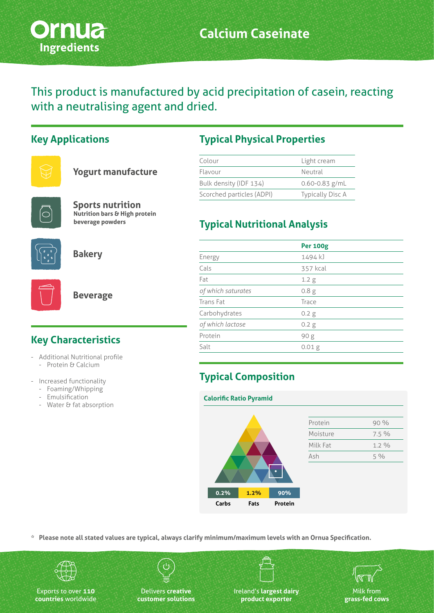

This product is manufactured by acid precipitation of casein, reacting with a neutralising agent and dried.

#### **Key Applications**



| <b>Yogurt manufacture</b> |
|---------------------------|
|                           |



**Sports nutrition Nutrition bars & High protein beverage powders**



**Bakery**



**Beverage**

# **Key Characteristics**

- Additional Nutritional profile - Protein & Calcium
- Increased functionality
	- Foaming/Whipping
	- Emulsification
	- Water & fat absorption

## **Typical Physical Properties**

| Colour                    | Light cream             |
|---------------------------|-------------------------|
| Flavour                   | Neutral                 |
| Bulk density (IDF 134)    | $0.60 - 0.83$ g/mL      |
| Scorched particles (ADPI) | <b>Typically Disc A</b> |

# **Typical Nutritional Analysis**

|                    | <b>Per 100g</b>   |
|--------------------|-------------------|
| Energy             | 1494 kJ           |
| Cals               | 357 kcal          |
| Fat                | 1.2 <sub>g</sub>  |
| of which saturates | 0.8 <sub>g</sub>  |
| Trans Fat          | Trace             |
| Carbohydrates      | 0.2 g             |
| of which lactose   | 0.2 g             |
| Protein            | 90 <sub>g</sub>   |
| Salt               | 0.01 <sub>g</sub> |
|                    |                   |

# **Typical Composition**

| <b>Calorific Ratio Pyramid</b> |      |         |          |       |
|--------------------------------|------|---------|----------|-------|
|                                |      |         |          |       |
|                                |      |         | Protein  | 90%   |
|                                |      |         | Moisture | 7.5 % |
|                                |      |         | Milk Fat | 1.2 % |
|                                |      |         | Ash      | 5%    |
|                                |      |         |          |       |
| 0.2%                           | 1.2% | 90%     |          |       |
| Carbs                          | Fats | Protein |          |       |

**\* Please note all stated values are typical, always clarify minimum/maximum levels with an Ornua Specification.**



Exports to over **110 countries** worldwide

Delivers **creative customer solutions**

Ireland's **largest dairy product exporter**